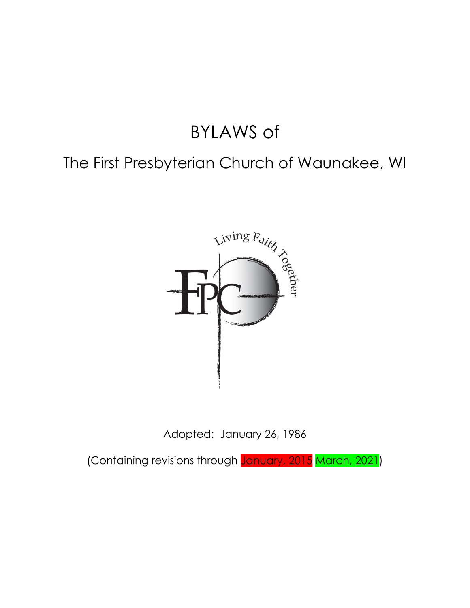# BYLAWS of

## The First Presbyterian Church of Waunakee, WI



Adopted: January 26, 1986

(Containing revisions through **January, 2015** March, 2021)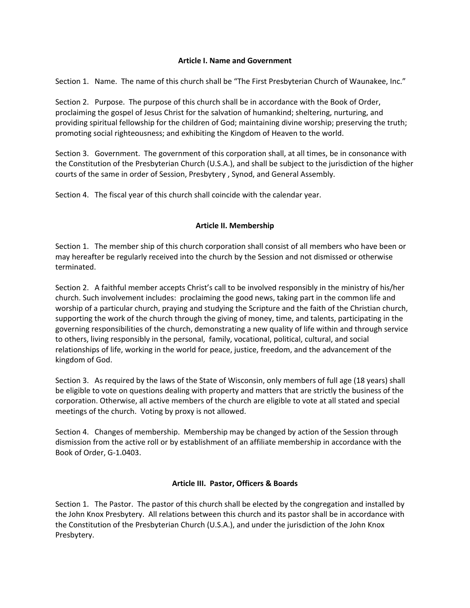#### **Article I. Name and Government**

Section 1. Name. The name of this church shall be "The First Presbyterian Church of Waunakee, Inc."

Section 2. Purpose. The purpose of this church shall be in accordance with the Book of Order, proclaiming the gospel of Jesus Christ for the salvation of humankind; sheltering, nurturing, and providing spiritual fellowship for the children of God; maintaining divine worship; preserving the truth; promoting social righteousness; and exhibiting the Kingdom of Heaven to the world.

Section 3. Government. The government of this corporation shall, at all times, be in consonance with the Constitution of the Presbyterian Church (U.S.A.), and shall be subject to the jurisdiction of the higher courts of the same in order of Session, Presbytery , Synod, and General Assembly.

Section 4. The fiscal year of this church shall coincide with the calendar year.

#### **Article II. Membership**

Section 1. The member ship of this church corporation shall consist of all members who have been or may hereafter be regularly received into the church by the Session and not dismissed or otherwise terminated.

Section 2. A faithful member accepts Christ's call to be involved responsibly in the ministry of his/her church. Such involvement includes: proclaiming the good news, taking part in the common life and worship of a particular church, praying and studying the Scripture and the faith of the Christian church, supporting the work of the church through the giving of money, time, and talents, participating in the governing responsibilities of the church, demonstrating a new quality of life within and through service to others, living responsibly in the personal, family, vocational, political, cultural, and social relationships of life, working in the world for peace, justice, freedom, and the advancement of the kingdom of God.

Section 3. As required by the laws of the State of Wisconsin, only members of full age (18 years) shall be eligible to vote on questions dealing with property and matters that are strictly the business of the corporation. Otherwise, all active members of the church are eligible to vote at all stated and special meetings of the church. Voting by proxy is not allowed.

Section 4. Changes of membership. Membership may be changed by action of the Session through dismission from the active roll or by establishment of an affiliate membership in accordance with the Book of Order, G-1.0403.

#### **Article III. Pastor, Officers & Boards**

Section 1. The Pastor. The pastor of this church shall be elected by the congregation and installed by the John Knox Presbytery. All relations between this church and its pastor shall be in accordance with the Constitution of the Presbyterian Church (U.S.A.), and under the jurisdiction of the John Knox Presbytery.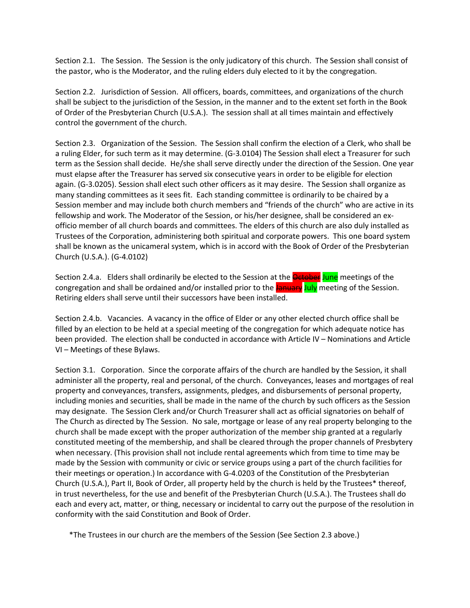Section 2.1. The Session. The Session is the only judicatory of this church. The Session shall consist of the pastor, who is the Moderator, and the ruling elders duly elected to it by the congregation.

Section 2.2. Jurisdiction of Session. All officers, boards, committees, and organizations of the church shall be subject to the jurisdiction of the Session, in the manner and to the extent set forth in the Book of Order of the Presbyterian Church (U.S.A.). The session shall at all times maintain and effectively control the government of the church.

Section 2.3. Organization of the Session. The Session shall confirm the election of a Clerk, who shall be a ruling Elder, for such term as it may determine. (G-3.0104) The Session shall elect a Treasurer for such term as the Session shall decide. He/she shall serve directly under the direction of the Session. One year must elapse after the Treasurer has served six consecutive years in order to be eligible for election again. (G-3.0205). Session shall elect such other officers as it may desire. The Session shall organize as many standing committees as it sees fit. Each standing committee is ordinarily to be chaired by a Session member and may include both church members and "friends of the church" who are active in its fellowship and work. The Moderator of the Session, or his/her designee, shall be considered an exofficio member of all church boards and committees. The elders of this church are also duly installed as Trustees of the Corporation, administering both spiritual and corporate powers. This one board system shall be known as the unicameral system, which is in accord with the Book of Order of the Presbyterian Church (U.S.A.). (G-4.0102)

Section 2.4.a. Elders shall ordinarily be elected to the Session at the **October** June meetings of the congregation and shall be ordained and/or installed prior to the January July meeting of the Session. Retiring elders shall serve until their successors have been installed.

Section 2.4.b. Vacancies. A vacancy in the office of Elder or any other elected church office shall be filled by an election to be held at a special meeting of the congregation for which adequate notice has been provided. The election shall be conducted in accordance with Article IV – Nominations and Article VI – Meetings of these Bylaws.

Section 3.1. Corporation. Since the corporate affairs of the church are handled by the Session, it shall administer all the property, real and personal, of the church. Conveyances, leases and mortgages of real property and conveyances, transfers, assignments, pledges, and disbursements of personal property, including monies and securities, shall be made in the name of the church by such officers as the Session may designate. The Session Clerk and/or Church Treasurer shall act as official signatories on behalf of The Church as directed by The Session. No sale, mortgage or lease of any real property belonging to the church shall be made except with the proper authorization of the member ship granted at a regularly constituted meeting of the membership, and shall be cleared through the proper channels of Presbytery when necessary. (This provision shall not include rental agreements which from time to time may be made by the Session with community or civic or service groups using a part of the church facilities for their meetings or operation.) In accordance with G-4.0203 of the Constitution of the Presbyterian Church (U.S.A.), Part II, Book of Order, all property held by the church is held by the Trustees\* thereof, in trust nevertheless, for the use and benefit of the Presbyterian Church (U.S.A.). The Trustees shall do each and every act, matter, or thing, necessary or incidental to carry out the purpose of the resolution in conformity with the said Constitution and Book of Order.

\*The Trustees in our church are the members of the Session (See Section 2.3 above.)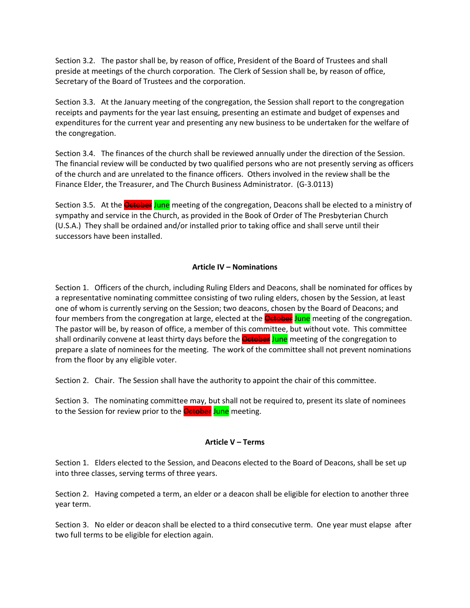Section 3.2. The pastor shall be, by reason of office, President of the Board of Trustees and shall preside at meetings of the church corporation. The Clerk of Session shall be, by reason of office, Secretary of the Board of Trustees and the corporation.

Section 3.3. At the January meeting of the congregation, the Session shall report to the congregation receipts and payments for the year last ensuing, presenting an estimate and budget of expenses and expenditures for the current year and presenting any new business to be undertaken for the welfare of the congregation.

Section 3.4. The finances of the church shall be reviewed annually under the direction of the Session. The financial review will be conducted by two qualified persons who are not presently serving as officers of the church and are unrelated to the finance officers. Others involved in the review shall be the Finance Elder, the Treasurer, and The Church Business Administrator. (G-3.0113)

Section 3.5. At the **October June** meeting of the congregation, Deacons shall be elected to a ministry of sympathy and service in the Church, as provided in the Book of Order of The Presbyterian Church (U.S.A.) They shall be ordained and/or installed prior to taking office and shall serve until their successors have been installed.

### **Article IV – Nominations**

Section 1. Officers of the church, including Ruling Elders and Deacons, shall be nominated for offices by a representative nominating committee consisting of two ruling elders, chosen by the Session, at least one of whom is currently serving on the Session; two deacons, chosen by the Board of Deacons; and four members from the congregation at large, elected at the **October June** meeting of the congregation. The pastor will be, by reason of office, a member of this committee, but without vote. This committee shall ordinarily convene at least thirty days before the **October June** meeting of the congregation to prepare a slate of nominees for the meeting. The work of the committee shall not prevent nominations from the floor by any eligible voter.

Section 2. Chair. The Session shall have the authority to appoint the chair of this committee.

Section 3. The nominating committee may, but shall not be required to, present its slate of nominees to the Session for review prior to the **October June** meeting.

#### **Article V – Terms**

Section 1. Elders elected to the Session, and Deacons elected to the Board of Deacons, shall be set up into three classes, serving terms of three years.

Section 2. Having competed a term, an elder or a deacon shall be eligible for election to another three year term.

Section 3. No elder or deacon shall be elected to a third consecutive term. One year must elapse after two full terms to be eligible for election again.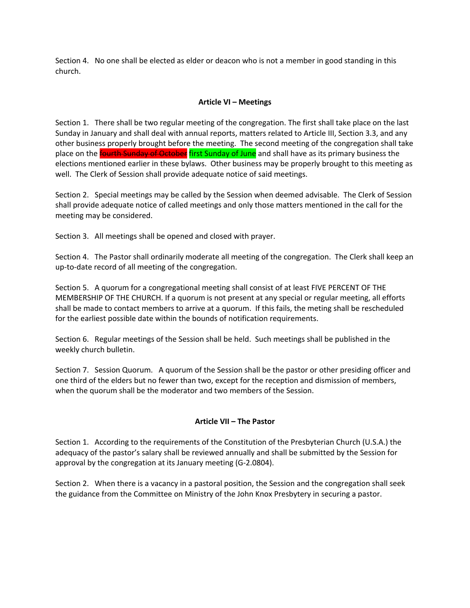Section 4. No one shall be elected as elder or deacon who is not a member in good standing in this church.

#### **Article VI – Meetings**

Section 1. There shall be two regular meeting of the congregation. The first shall take place on the last Sunday in January and shall deal with annual reports, matters related to Article III, Section 3.3, and any other business properly brought before the meeting. The second meeting of the congregation shall take place on the *fourth Sunday of October* first Sunday of June and shall have as its primary business the elections mentioned earlier in these bylaws. Other business may be properly brought to this meeting as well. The Clerk of Session shall provide adequate notice of said meetings.

Section 2. Special meetings may be called by the Session when deemed advisable. The Clerk of Session shall provide adequate notice of called meetings and only those matters mentioned in the call for the meeting may be considered.

Section 3. All meetings shall be opened and closed with prayer.

Section 4. The Pastor shall ordinarily moderate all meeting of the congregation. The Clerk shall keep an up-to-date record of all meeting of the congregation.

Section 5. A quorum for a congregational meeting shall consist of at least FIVE PERCENT OF THE MEMBERSHIP OF THE CHURCH. If a quorum is not present at any special or regular meeting, all efforts shall be made to contact members to arrive at a quorum. If this fails, the meting shall be rescheduled for the earliest possible date within the bounds of notification requirements.

Section 6. Regular meetings of the Session shall be held. Such meetings shall be published in the weekly church bulletin.

Section 7. Session Quorum. A quorum of the Session shall be the pastor or other presiding officer and one third of the elders but no fewer than two, except for the reception and dismission of members, when the quorum shall be the moderator and two members of the Session.

#### **Article VII – The Pastor**

Section 1. According to the requirements of the Constitution of the Presbyterian Church (U.S.A.) the adequacy of the pastor's salary shall be reviewed annually and shall be submitted by the Session for approval by the congregation at its January meeting (G-2.0804).

Section 2. When there is a vacancy in a pastoral position, the Session and the congregation shall seek the guidance from the Committee on Ministry of the John Knox Presbytery in securing a pastor.